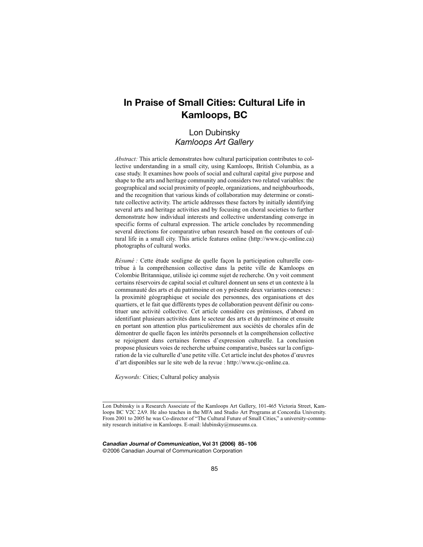# **In Praise of Small Cities: Cultural Life in Kamloops, BC**

# Lon Dubinsky *Kamloops Art Gallery*

*Abstract:* This article demonstrates how cultural participation contributes to collective understanding in a small city, using Kamloops, British Columbia, as a case study. It examines how pools of social and cultural capital give purpose and shape to the arts and heritage community and considers two related variables: the geographical and social proximity of people, organizations, and neighbourhoods, and the recognition that various kinds of collaboration may determine or constitute collective activity. The article addresses these factors by initially identifying several arts and heritage activities and by focusing on choral societies to further demonstrate how individual interests and collective understanding converge in specific forms of cultural expression. The article concludes by recommending several directions for comparative urban research based on the contours of cultural life in a small city. This article features online (http://www.cjc-online.ca) photographs of cultural works.

*Résumé :* Cette étude souligne de quelle façon la participation culturelle contribue à la compréhension collective dans la petite ville de Kamloops en Colombie Britannique, utilisée içi comme sujet de recherche. On y voit comment certains réservoirs de capital social et culturel donnent un sens et un contexte à la communauté des arts et du patrimoine et on y présente deux variantes connexes : la proximité géographique et sociale des personnes, des organisations et des quartiers, et le fait que différents types de collaboration peuvent définir ou constituer une activité collective. Cet article considère ces prémisses, d'abord en identifiant plusieurs activités dans le secteur des arts et du patrimoine et ensuite en portant son attention plus particulièrement aux sociétés de chorales afin de démontrer de quelle façon les intérêts personnels et la compréhension collective se rejoignent dans certaines formes d'expression culturelle. La conclusion propose plusieurs voies de recherche urbaine comparative, basées sur la configuration de la vie culturelle d'une petite ville. Cet article inclut des photos d'œuvres d'art disponibles sur le site web de la revue : http://www.cjc-online.ca.

*Keywords:* Cities; Cultural policy analysis

*Canadian Journal of Communication***, Vol 31 (2006) 85-106** ©2006 Canadian Journal of Communication Corporation

Lon Dubinsky is a Research Associate of the Kamloops Art Gallery, 101-465 Victoria Street, Kamloops BC V2C 2A9. He also teaches in the MFA and Studio Art Programs at Concordia University. From 2001 to 2005 he was Co-director of "The Cultural Future of Small Cities," a university-community research initiative in Kamloops. E-mail: ldubinsky@museums.ca.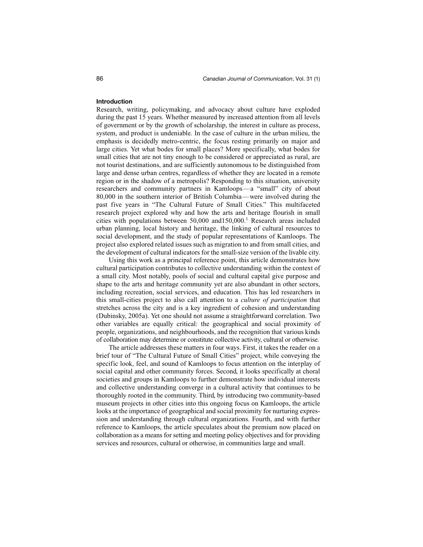### **Introduction**

Research, writing, policymaking, and advocacy about culture have exploded during the past 15 years. Whether measured by increased attention from all levels of government or by the growth of scholarship, the interest in culture as process, system, and product is undeniable. In the case of culture in the urban milieu, the emphasis is decidedly metro-centric, the focus resting primarily on major and large cities. Yet what bodes for small places? More specifically, what bodes for small cities that are not tiny enough to be considered or appreciated as rural, are not tourist destinations, and are sufficiently autonomous to be distinguished from large and dense urban centres, regardless of whether they are located in a remote region or in the shadow of a metropolis? Responding to this situation, university researchers and community partners in Kamloops—a "small" city of about 80,000 in the southern interior of British Columbia—were involved during the past five years in "The Cultural Future of Small Cities." This multifaceted research project explored why and how the arts and heritage flourish in small cities with populations between 50,000 and150,000.1 Research areas included urban planning, local history and heritage, the linking of cultural resources to social development, and the study of popular representations of Kamloops. The project also explored related issues such as migration to and from small cities, and the development of cultural indicators for the small-size version of the livable city.

Using this work as a principal reference point, this article demonstrates how cultural participation contributes to collective understanding within the context of a small city. Most notably, pools of social and cultural capital give purpose and shape to the arts and heritage community yet are also abundant in other sectors, including recreation, social services, and education. This has led researchers in this small-cities project to also call attention to a *culture of participation* that stretches across the city and is a key ingredient of cohesion and understanding (Dubinsky, 2005a). Yet one should not assume a straightforward correlation. Two other variables are equally critical: the geographical and social proximity of people, organizations, and neighbourhoods, and the recognition that various kinds of collaboration may determine or constitute collective activity, cultural or otherwise.

The article addresses these matters in four ways. First, it takes the reader on a brief tour of "The Cultural Future of Small Cities" project, while conveying the specific look, feel, and sound of Kamloops to focus attention on the interplay of social capital and other community forces. Second, it looks specifically at choral societies and groups in Kamloops to further demonstrate how individual interests and collective understanding converge in a cultural activity that continues to be thoroughly rooted in the community. Third, by introducing two community-based museum projects in other cities into this ongoing focus on Kamloops, the article looks at the importance of geographical and social proximity for nurturing expression and understanding through cultural organizations. Fourth, and with further reference to Kamloops, the article speculates about the premium now placed on collaboration as a means for setting and meeting policy objectives and for providing services and resources, cultural or otherwise, in communities large and small.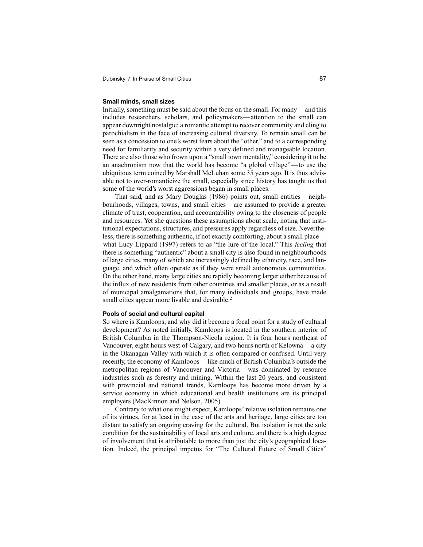# **Small minds, small sizes**

Initially, something must be said about the focus on the small. For many—and this includes researchers, scholars, and policymakers—attention to the small can appear downright nostalgic: a romantic attempt to recover community and cling to parochialism in the face of increasing cultural diversity. To remain small can be seen as a concession to one's worst fears about the "other," and to a corresponding need for familiarity and security within a very defined and manageable location. There are also those who frown upon a "small town mentality," considering it to be an anachronism now that the world has become "a global village"—to use the ubiquitous term coined by Marshall McLuhan some 35 years ago. It is thus advisable not to over-romanticize the small, especially since history has taught us that some of the world's worst aggressions began in small places.

That said, and as Mary Douglas (1986) points out, small entities—neighbourhoods, villages, towns, and small cities—are assumed to provide a greater climate of trust, cooperation, and accountability owing to the closeness of people and resources. Yet she questions these assumptions about scale, noting that institutional expectations, structures, and pressures apply regardless of size. Nevertheless, there is something authentic, if not exactly comforting, about a small place what Lucy Lippard (1997) refers to as "the lure of the local." This *feeling* that there is something "authentic" about a small city is also found in neighbourhoods of large cities, many of which are increasingly defined by ethnicity, race, and language, and which often operate as if they were small autonomous communities. On the other hand, many large cities are rapidly becoming larger either because of the influx of new residents from other countries and smaller places, or as a result of municipal amalgamations that, for many individuals and groups, have made small cities appear more livable and desirable.<sup>2</sup>

#### **Pools of social and cultural capital**

So where is Kamloops, and why did it become a focal point for a study of cultural development? As noted initially, Kamloops is located in the southern interior of British Columbia in the Thompson-Nicola region. It is four hours northeast of Vancouver, eight hours west of Calgary, and two hours north of Kelowna—a city in the Okanagan Valley with which it is often compared or confused. Until very recently, the economy of Kamloops—like much of British Columbia's outside the metropolitan regions of Vancouver and Victoria—was dominated by resource industries such as forestry and mining. Within the last 20 years, and consistent with provincial and national trends, Kamloops has become more driven by a service economy in which educational and health institutions are its principal employers (MacKinnon and Nelson, 2005).

Contrary to what one might expect, Kamloops' relative isolation remains one of its virtues, for at least in the case of the arts and heritage, large cities are too distant to satisfy an ongoing craving for the cultural. But isolation is not the sole condition for the sustainability of local arts and culture, and there is a high degree of involvement that is attributable to more than just the city's geographical location. Indeed, the principal impetus for "The Cultural Future of Small Cities"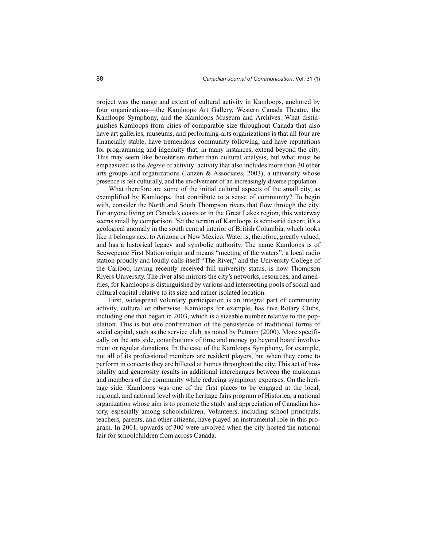project was the range and extent of cultural activity in Kamloops, anchored by four organizations—the Kamloops Art Gallery, Western Canada Theatre, the Kamloops Symphony, and the Kamloops Museum and Archives. What distinguishes Kamloops from cities of comparable size throughout Canada that also have art galleries, museums, and performing-arts organizations is that all four are financially stable, have tremendous community following, and have reputations for programming and ingenuity that, in many instances, extend beyond the city. This may seem like boosterism rather than cultural analysis, but what must be emphasized is the *degree* of activity: activity that also includes more than 30 other arts groups and organizations (Janzen  $\&$  Associates, 2003), a university whose presence is felt culturally, and the involvement of an increasingly diverse population.

What therefore are some of the initial cultural aspects of the small city, as exemplified by Kamloops, that contribute to a sense of community? To begin with, consider the North and South Thompson rivers that flow through the city. For anyone living on Canada's coasts or in the Great Lakes region, this waterway seems small by comparison. Yet the terrain of Kamloops is semi-arid desert; it's a geological anomaly in the south central interior of British Columbia, which looks like it belongs next to Arizona or New Mexico. Water is, therefore, greatly valued, and has a historical legacy and symbolic authority. The name Kamloops is of Secwepemc First Nation origin and means "meeting of the waters"; a local radio station proudly and loudly calls itself "The River," and the University College of the Cariboo, having recently received full university status, is now Thompson Rivers University. The river also mirrors the city's networks, resources, and amenities, for Kamloops is distinguished by various and intersecting pools of social and cultural capital relative to its size and rather isolated location.

First, widespread voluntary participation is an integral part of community activity, cultural or otherwise. Kamloops for example, has five Rotary Clubs, including one that began in 2003, which is a sizeable number relative to the population. This is but one confirmation of the persistence of traditional forms of social capital, such as the service club, as noted by Putnam (2000). More specifically on the arts side, contributions of time and money go beyond board involvement or regular donations. In the case of the Kamloops Symphony, for example, not all of its professional members are resident players, but when they come to perform in concerts they are billeted at homes throughout the city. This act of hospitality and generosity results in additional interchanges between the musicians and members of the community while reducing symphony expenses. On the heritage side, Kamloops was one of the first places to be engaged at the local, regional, and national level with the heritage fairs program of Historica, a national organization whose aim is to promote the study and appreciation of Canadian history, especially among schoolchildren. Volunteers, including school principals, teachers, parents, and other citizens, have played an instrumental role in this program. In 2001, upwards of 300 were involved when the city hosted the national fair for schoolchildren from across Canada.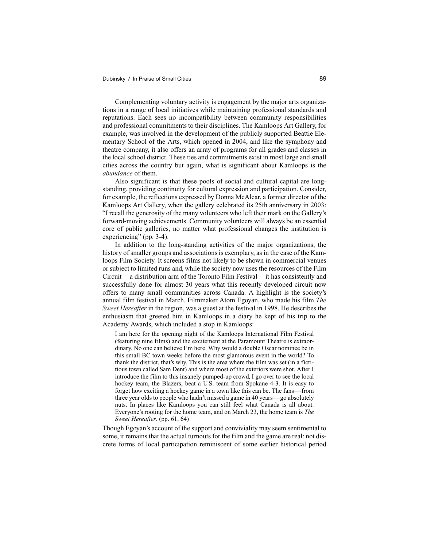Complementing voluntary activity is engagement by the major arts organizations in a range of local initiatives while maintaining professional standards and reputations. Each sees no incompatibility between community responsibilities and professional commitments to their disciplines. The Kamloops Art Gallery, for example, was involved in the development of the publicly supported Beattie Elementary School of the Arts, which opened in 2004, and like the symphony and theatre company, it also offers an array of programs for all grades and classes in the local school district. These ties and commitments exist in most large and small cities across the country but again, what is significant about Kamloops is the *abundance* of them.

Also significant is that these pools of social and cultural capital are longstanding, providing continuity for cultural expression and participation. Consider, for example, the reflections expressed by Donna McAlear, a former director of the Kamloops Art Gallery, when the gallery celebrated its 25th anniversary in 2003: "I recall the generosity of the many volunteers who left their mark on the Gallery's forward-moving achievements. Community volunteers will always be an essential core of public galleries, no matter what professional changes the institution is experiencing" (pp. 3-4).

In addition to the long-standing activities of the major organizations, the history of smaller groups and associations is exemplary, as in the case of the Kamloops Film Society. It screens films not likely to be shown in commercial venues or subject to limited runs and, while the society now uses the resources of the Film Circuit—a distribution arm of the Toronto Film Festival—it has consistently and successfully done for almost 30 years what this recently developed circuit now offers to many small communities across Canada. A highlight is the society's annual film festival in March. Filmmaker Atom Egoyan, who made his film *The Sweet Hereafter* in the region, was a guest at the festival in 1998. He describes the enthusiasm that greeted him in Kamloops in a diary he kept of his trip to the Academy Awards, which included a stop in Kamloops:

I am here for the opening night of the Kamloops International Film Festival (featuring nine films) and the excitement at the Paramount Theatre is extraordinary. No one can believe I'm here. Why would a double Oscar nominee be in this small BC town weeks before the most glamorous event in the world? To thank the district, that's why. This is the area where the film was set (in a fictitious town called Sam Dent) and where most of the exteriors were shot. After I introduce the film to this insanely pumped-up crowd, I go over to see the local hockey team, the Blazers, beat a U.S. team from Spokane 4-3. It is easy to forget how exciting a hockey game in a town like this can be. The fans—from three year olds to people who hadn't missed a game in 40 years—go absolutely nuts. In places like Kamloops you can still feel what Canada is all about. Everyone's rooting for the home team, and on March 23, the home team is *The Sweet Hereafter*. (pp. 61, 64)

Though Egoyan's account of the support and conviviality may seem sentimental to some, it remains that the actual turnouts for the film and the game are real: not discrete forms of local participation reminiscent of some earlier historical period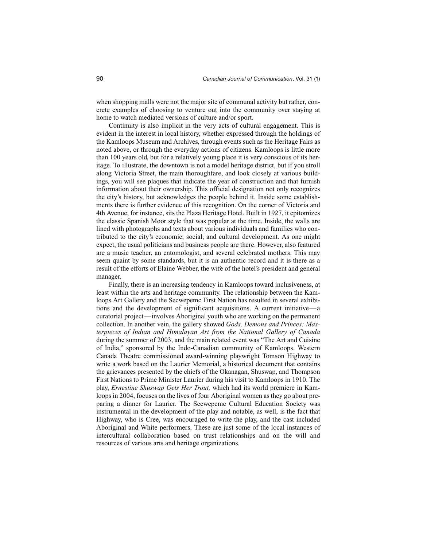when shopping malls were not the major site of communal activity but rather, concrete examples of choosing to venture out into the community over staying at home to watch mediated versions of culture and/or sport.

Continuity is also implicit in the very acts of cultural engagement. This is evident in the interest in local history, whether expressed through the holdings of the Kamloops Museum and Archives, through events such as the Heritage Fairs as noted above, or through the everyday actions of citizens. Kamloops is little more than 100 years old, but for a relatively young place it is very conscious of its heritage. To illustrate, the downtown is not a model heritage district, but if you stroll along Victoria Street, the main thoroughfare, and look closely at various buildings, you will see plaques that indicate the year of construction and that furnish information about their ownership. This official designation not only recognizes the city's history, but acknowledges the people behind it. Inside some establishments there is further evidence of this recognition. On the corner of Victoria and 4th Avenue, for instance, sits the Plaza Heritage Hotel. Built in 1927, it epitomizes the classic Spanish Moor style that was popular at the time. Inside, the walls are lined with photographs and texts about various individuals and families who contributed to the city's economic, social, and cultural development. As one might expect, the usual politicians and business people are there. However, also featured are a music teacher, an entomologist, and several celebrated mothers. This may seem quaint by some standards, but it is an authentic record and it is there as a result of the efforts of Elaine Webber, the wife of the hotel's president and general manager.

Finally, there is an increasing tendency in Kamloops toward inclusiveness, at least within the arts and heritage community. The relationship between the Kamloops Art Gallery and the Secwepemc First Nation has resulted in several exhibitions and the development of significant acquisitions. A current initiative—a curatorial project—involves Aboriginal youth who are working on the permanent collection. In another vein, the gallery showed *Gods, Demons and Princes: Masterpieces of Indian and Himalayan Art from the National Gallery of Canada* during the summer of 2003, and the main related event was "The Art and Cuisine of India," sponsored by the Indo-Canadian community of Kamloops. Western Canada Theatre commissioned award-winning playwright Tomson Highway to write a work based on the Laurier Memorial, a historical document that contains the grievances presented by the chiefs of the Okanagan, Shuswap, and Thompson First Nations to Prime Minister Laurier during his visit to Kamloops in 1910. The play, *Ernestine Shuswap Gets Her Trout,* which had its world premiere in Kamloops in 2004, focuses on the lives of four Aboriginal women as they go about preparing a dinner for Laurier. The Secwepemc Cultural Education Society was instrumental in the development of the play and notable, as well, is the fact that Highway, who is Cree, was encouraged to write the play, and the cast included Aboriginal and White performers. These are just some of the local instances of intercultural collaboration based on trust relationships and on the will and resources of various arts and heritage organizations.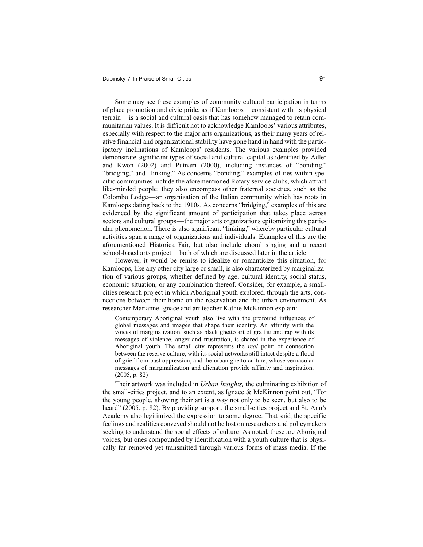Some may see these examples of community cultural participation in terms of place promotion and civic pride, as if Kamloops—consistent with its physical terrain—is a social and cultural oasis that has somehow managed to retain communitarian values. It is difficult not to acknowledge Kamloops' various attributes, especially with respect to the major arts organizations, as their many years of relative financial and organizational stability have gone hand in hand with the participatory inclinations of Kamloops' residents. The various examples provided demonstrate significant types of social and cultural capital as identfied by Adler and Kwon (2002) and Putnam (2000), including instances of "bonding," "bridging," and "linking." As concerns "bonding," examples of ties within specific communities include the aforementioned Rotary service clubs, which attract like-minded people; they also encompass other fraternal societies, such as the Colombo Lodge—an organization of the Italian community which has roots in Kamloops dating back to the 1910s. As concerns "bridging," examples of this are evidenced by the significant amount of participation that takes place across sectors and cultural groups—the major arts organizations epitomizing this particular phenomenon. There is also significant "linking," whereby particular cultural activities span a range of organizations and individuals. Examples of this are the aforementioned Historica Fair, but also include choral singing and a recent school-based arts project—both of which are discussed later in the article.

However, it would be remiss to idealize or romanticize this situation, for Kamloops, like any other city large or small, is also characterized by marginalization of various groups, whether defined by age, cultural identity, social status, economic situation, or any combination thereof. Consider, for example, a smallcities research project in which Aboriginal youth explored, through the arts, connections between their home on the reservation and the urban environment. As researcher Marianne Ignace and art teacher Kathie McKinnon explain:

Contemporary Aboriginal youth also live with the profound influences of global messages and images that shape their identity. An affinity with the voices of marginalization, such as black ghetto art of graffiti and rap with its messages of violence, anger and frustration, is shared in the experience of Aboriginal youth. The small city represents the *real* point of connection between the reserve culture, with its social networks still intact despite a flood of grief from past oppression, and the urban ghetto culture, whose vernacular messages of marginalization and alienation provide affinity and inspiration. (2005, p. 82)

Their artwork was included in *Urban Insights,* the culminating exhibition of the small-cities project, and to an extent, as Ignace & McKinnon point out, "For the young people, showing their art is a way not only to be seen, but also to be heard" (2005, p. 82). By providing support, the small-cities project and St. Ann's Academy also legitimized the expression to some degree. That said, the specific feelings and realities conveyed should not be lost on researchers and policymakers seeking to understand the social effects of culture. As noted, these are Aboriginal voices, but ones compounded by identification with a youth culture that is physically far removed yet transmitted through various forms of mass media. If the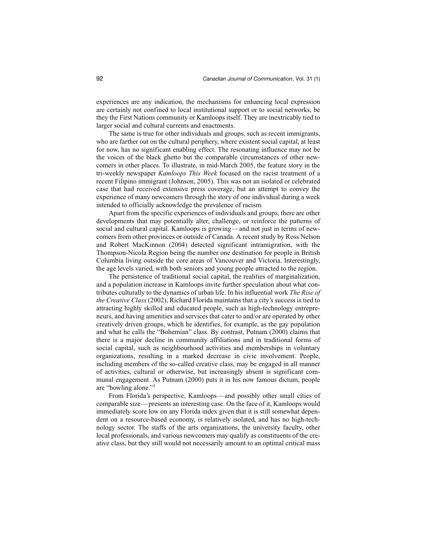experiences are any indication, the mechanisms for enhancing local expression are certainly not confined to local institutional support or to social networks, be they the First Nations community or Kamloops itself. They are inextricably tied to larger social and cultural currents and enactments.

The same is true for other individuals and groups, such as recent immigrants, who are farther out on the cultural periphery, where existent social capital, at least for now, has no significant enabling effect. The resonating influence may not be the voices of the black ghetto but the comparable circumstances of other newcomers in other places. To illustrate, in mid-March 2005, the feature story in the tri-weekly newspaper *Kamloops This Week* focused on the racist treatment of a recent Filipino immigrant (Johnson, 2005). This was not an isolated or celebrated case that had received extensive press coverage, but an attempt to convey the experience of many newcomers through the story of one individual during a week intended to officially acknowledge the prevalence of racism.

Apart from the specific experiences of individuals and groups, there are other developments that may potentially alter, challenge, or reinforce the patterns of social and cultural capital. Kamloops is growing—and not just in terms of newcomers from other provinces or outside of Canada. A recent study by Ross Nelson and Robert MacKinnon (2004) detected significant intramigration, with the Thompson-Nicola Region being the number one destination for people in British Columbia living outside the core areas of Vancouver and Victoria. Interestingly, the age levels varied, with both seniors and young people attracted to the region.

The persistence of traditional social capital, the realities of marginalization, and a population increase in Kamloops invite further speculation about what contributes culturally to the dynamics of urban life. In his influential work *The Rise of the Creative Class* (2002), Richard Florida maintains that a city's success is tied to attracting highly skilled and educated people, such as high-technology entrepreneurs, and having amenities and services that cater to and/or are operated by other creatively driven groups, which he identifies, for example, as the gay population and what he calls the "Bohemian" class. By contrast, Putnam (2000) claims that there is a major decline in community affiliations and in traditional forms of social capital, such as neighbourhood activities and memberships in voluntary organizations, resulting in a marked decrease in civic involvement. People, including members of the so-called creative class, may be engaged in all manner of activities, cultural or otherwise, but increasingly absent is significant communal engagement. As Putnam (2000) puts it in his now famous dictum, people are "bowling alone."3

From Florida's perspective, Kamloops—and possibly other small cities of comparable size—presents an interesting case. On the face of it, Kamloops would immediately score low on any Florida index given that it is still somewhat dependent on a resource-based economy, is relatively isolated, and has no high-technology sector. The staffs of the arts organizations, the university faculty, other local professionals, and various newcomers may qualify as constituents of the creative class, but they still would not necessarily amount to an optimal critical mass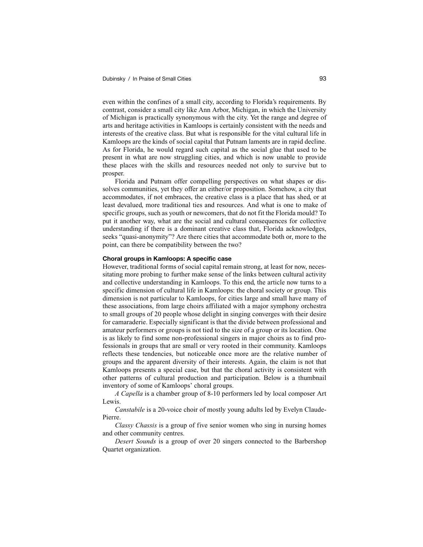even within the confines of a small city, according to Florida's requirements. By contrast, consider a small city like Ann Arbor, Michigan, in which the University of Michigan is practically synonymous with the city. Yet the range and degree of arts and heritage activities in Kamloops is certainly consistent with the needs and interests of the creative class. But what is responsible for the vital cultural life in Kamloops are the kinds of social capital that Putnam laments are in rapid decline. As for Florida, he would regard such capital as the social glue that used to be present in what are now struggling cities, and which is now unable to provide these places with the skills and resources needed not only to survive but to prosper.

Florida and Putnam offer compelling perspectives on what shapes or dissolves communities, yet they offer an either/or proposition. Somehow, a city that accommodates, if not embraces, the creative class is a place that has shed, or at least devalued, more traditional ties and resources. And what is one to make of specific groups, such as youth or newcomers, that do not fit the Florida mould? To put it another way, what are the social and cultural consequences for collective understanding if there is a dominant creative class that, Florida acknowledges, seeks "quasi-anonymity"? Are there cities that accommodate both or, more to the point, can there be compatibility between the two?

# **Choral groups in Kamloops: A specific case**

However, traditional forms of social capital remain strong, at least for now, necessitating more probing to further make sense of the links between cultural activity and collective understanding in Kamloops. To this end, the article now turns to a specific dimension of cultural life in Kamloops: the choral society or group. This dimension is not particular to Kamloops, for cities large and small have many of these associations, from large choirs affiliated with a major symphony orchestra to small groups of 20 people whose delight in singing converges with their desire for camaraderie. Especially significant is that the divide between professional and amateur performers or groups is not tied to the size of a group or its location. One is as likely to find some non-professional singers in major choirs as to find professionals in groups that are small or very rooted in their community. Kamloops reflects these tendencies, but noticeable once more are the relative number of groups and the apparent diversity of their interests. Again, the claim is not that Kamloops presents a special case, but that the choral activity is consistent with other patterns of cultural production and participation. Below is a thumbnail inventory of some of Kamloops' choral groups.

*A Capella* is a chamber group of 8-10 performers led by local composer Art Lewis.

*Canstabile* is a 20-voice choir of mostly young adults led by Evelyn Claude-Pierre.

*Classy Chassis* is a group of five senior women who sing in nursing homes and other community centres.

*Desert Sounds* is a group of over 20 singers connected to the Barbershop Quartet organization.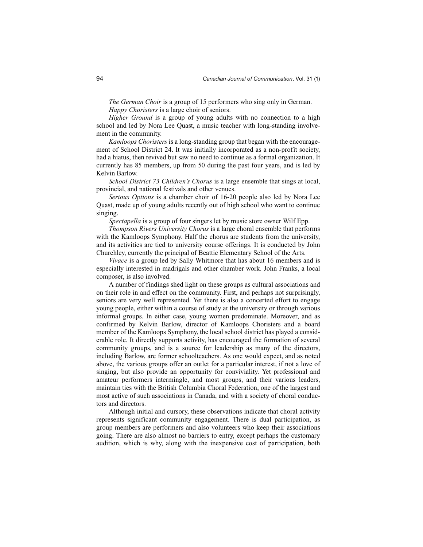*The German Choir* is a group of 15 performers who sing only in German. *Happy Choristers* is a large choir of seniors.

*Higher Ground* is a group of young adults with no connection to a high school and led by Nora Lee Quast, a music teacher with long-standing involvement in the community.

*Kamloops Choristers* is a long-standing group that began with the encouragement of School District 24. It was initially incorporated as a non-profit society, had a hiatus, then revived but saw no need to continue as a formal organization. It currently has 85 members, up from 50 during the past four years, and is led by Kelvin Barlow.

*School District 73 Children's Chorus* is a large ensemble that sings at local, provincial, and national festivals and other venues.

*Serious Options* is a chamber choir of 16-20 people also led by Nora Lee Quast, made up of young adults recently out of high school who want to continue singing.

*Spectapella* is a group of four singers let by music store owner Wilf Epp.

*Thompson Rivers University Chorus* is a large choral ensemble that performs with the Kamloops Symphony. Half the chorus are students from the university, and its activities are tied to university course offerings. It is conducted by John Churchley, currently the principal of Beattie Elementary School of the Arts.

*Vivace* is a group led by Sally Whitmore that has about 16 members and is especially interested in madrigals and other chamber work. John Franks, a local composer, is also involved.

A number of findings shed light on these groups as cultural associations and on their role in and effect on the community. First, and perhaps not surprisingly, seniors are very well represented. Yet there is also a concerted effort to engage young people, either within a course of study at the university or through various informal groups. In either case, young women predominate. Moreover, and as confirmed by Kelvin Barlow, director of Kamloops Choristers and a board member of the Kamloops Symphony, the local school district has played a considerable role. It directly supports activity, has encouraged the formation of several community groups, and is a source for leadership as many of the directors, including Barlow, are former schoolteachers. As one would expect, and as noted above, the various groups offer an outlet for a particular interest, if not a love of singing, but also provide an opportunity for conviviality. Yet professional and amateur performers intermingle, and most groups, and their various leaders, maintain ties with the British Columbia Choral Federation, one of the largest and most active of such associations in Canada, and with a society of choral conductors and directors.

Although initial and cursory, these observations indicate that choral activity represents significant community engagement. There is dual participation, as group members are performers and also volunteers who keep their associations going. There are also almost no barriers to entry, except perhaps the customary audition, which is why, along with the inexpensive cost of participation, both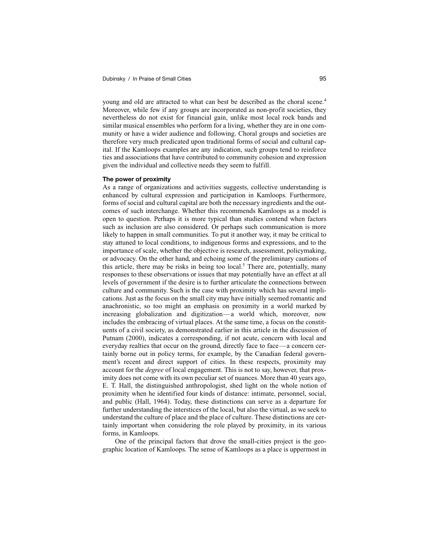young and old are attracted to what can best be described as the choral scene.<sup>4</sup> Moreover, while few if any groups are incorporated as non-profit societies, they nevertheless do not exist for financial gain, unlike most local rock bands and similar musical ensembles who perform for a living, whether they are in one community or have a wider audience and following. Choral groups and societies are therefore very much predicated upon traditional forms of social and cultural capital. If the Kamloops examples are any indication, such groups tend to reinforce ties and associations that have contributed to community cohesion and expression given the individual and collective needs they seem to fulfill.

### **The power of proximity**

As a range of organizations and activities suggests, collective understanding is enhanced by cultural expression and participation in Kamloops. Furthermore, forms of social and cultural capital are both the necessary ingredients and the outcomes of such interchange. Whether this recommends Kamloops as a model is open to question. Perhaps it is more typical than studies contend when factors such as inclusion are also considered. Or perhaps such communication is more likely to happen in small communities. To put it another way, it may be critical to stay attuned to local conditions, to indigenous forms and expressions, and to the importance of scale, whether the objective is research, assessment, policymaking, or advocacy. On the other hand, and echoing some of the preliminary cautions of this article, there may be risks in being too local.<sup>5</sup> There are, potentially, many responses to these observations or issues that may potentially have an effect at all levels of government if the desire is to further articulate the connections between culture and community. Such is the case with proximity which has several implications. Just as the focus on the small city may have initially seemed romantic and anachronistic, so too might an emphasis on proximity in a world marked by increasing globalization and digitization—a world which, moreover, now includes the embracing of virtual places. At the same time, a focus on the constituents of a civil society, as demonstrated earlier in this article in the discussion of Putnam (2000), indicates a corresponding, if not acute, concern with local and everyday realties that occur on the ground, directly face to face—a concern certainly borne out in policy terms, for example, by the Canadian federal government's recent and direct support of cities. In these respects, proximity may account for the *degree* of local engagement. This is not to say, however, that proximity does not come with its own peculiar set of nuances. More than 40 years ago, E. T. Hall, the distinguished anthropologist, shed light on the whole notion of proximity when he identified four kinds of distance: intimate, personnel, social, and public (Hall, 1964). Today, these distinctions can serve as a departure for further understanding the interstices of the local, but also the virtual, as we seek to understand the culture of place and the place of culture. These distinctions are certainly important when considering the role played by proximity, in its various forms, in Kamloops.

One of the principal factors that drove the small-cities project is the geographic location of Kamloops. The sense of Kamloops as a place is uppermost in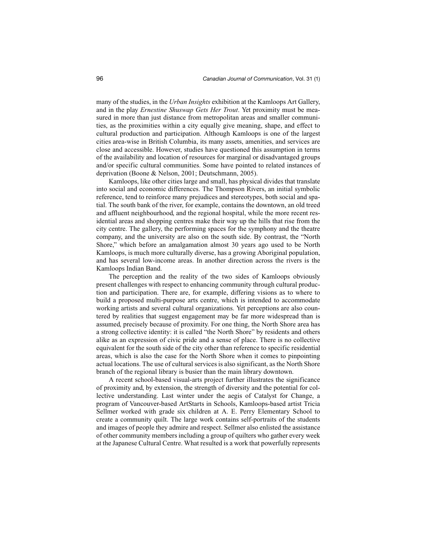many of the studies, in the *Urban Insights* exhibition at the Kamloops Art Gallery, and in the play *Ernestine Shuswap Gets Her Trout*. Yet proximity must be measured in more than just distance from metropolitan areas and smaller communities, as the proximities within a city equally give meaning, shape, and effect to cultural production and participation. Although Kamloops is one of the largest cities area-wise in British Columbia, its many assets, amenities, and services are close and accessible. However, studies have questioned this assumption in terms of the availability and location of resources for marginal or disadvantaged groups and/or specific cultural communities. Some have pointed to related instances of deprivation (Boone & Nelson, 2001; Deutschmann, 2005).

Kamloops, like other cities large and small, has physical divides that translate into social and economic differences. The Thompson Rivers, an initial symbolic reference, tend to reinforce many prejudices and stereotypes, both social and spatial. The south bank of the river, for example, contains the downtown, an old treed and affluent neighbourhood, and the regional hospital, while the more recent residential areas and shopping centres make their way up the hills that rise from the city centre. The gallery, the performing spaces for the symphony and the theatre company, and the university are also on the south side. By contrast, the "North Shore," which before an amalgamation almost 30 years ago used to be North Kamloops, is much more culturally diverse, has a growing Aboriginal population, and has several low-income areas. In another direction across the rivers is the Kamloops Indian Band.

The perception and the reality of the two sides of Kamloops obviously present challenges with respect to enhancing community through cultural production and participation. There are, for example, differing visions as to where to build a proposed multi-purpose arts centre, which is intended to accommodate working artists and several cultural organizations. Yet perceptions are also countered by realities that suggest engagement may be far more widespread than is assumed, precisely because of proximity. For one thing, the North Shore area has a strong collective identity: it is called "the North Shore" by residents and others alike as an expression of civic pride and a sense of place. There is no collective equivalent for the south side of the city other than reference to specific residential areas, which is also the case for the North Shore when it comes to pinpointing actual locations. The use of cultural services is also significant, as the North Shore branch of the regional library is busier than the main library downtown.

A recent school-based visual-arts project further illustrates the significance of proximity and, by extension, the strength of diversity and the potential for collective understanding. Last winter under the aegis of Catalyst for Change, a program of Vancouver-based ArtStarts in Schools, Kamloops-based artist Tricia Sellmer worked with grade six children at A. E. Perry Elementary School to create a community quilt. The large work contains self-portraits of the students and images of people they admire and respect. Sellmer also enlisted the assistance of other community members including a group of quilters who gather every week at the Japanese Cultural Centre. What resulted is a work that powerfully represents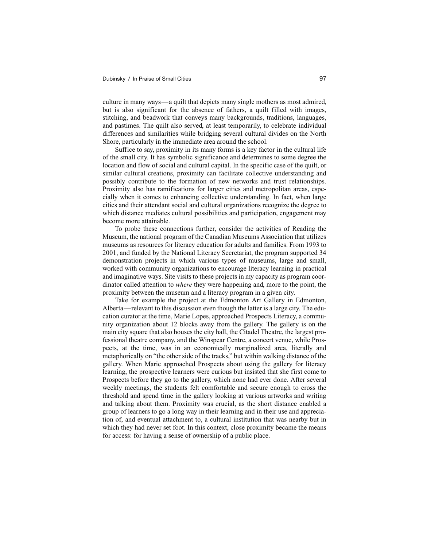culture in many ways—a quilt that depicts many single mothers as most admired, but is also significant for the absence of fathers, a quilt filled with images, stitching, and beadwork that conveys many backgrounds, traditions, languages, and pastimes. The quilt also served, at least temporarily, to celebrate individual differences and similarities while bridging several cultural divides on the North Shore, particularly in the immediate area around the school.

Suffice to say, proximity in its many forms is a key factor in the cultural life of the small city. It has symbolic significance and determines to some degree the location and flow of social and cultural capital. In the specific case of the quilt, or similar cultural creations, proximity can facilitate collective understanding and possibly contribute to the formation of new networks and trust relationships. Proximity also has ramifications for larger cities and metropolitan areas, especially when it comes to enhancing collective understanding. In fact, when large cities and their attendant social and cultural organizations recognize the degree to which distance mediates cultural possibilities and participation, engagement may become more attainable.

To probe these connections further, consider the activities of Reading the Museum, the national program of the Canadian Museums Association that utilizes museums as resources for literacy education for adults and families. From 1993 to 2001, and funded by the National Literacy Secretariat, the program supported 34 demonstration projects in which various types of museums, large and small, worked with community organizations to encourage literacy learning in practical and imaginative ways. Site visits to these projects in my capacity as program coordinator called attention to *where* they were happening and, more to the point, the proximity between the museum and a literacy program in a given city.

Take for example the project at the Edmonton Art Gallery in Edmonton, Alberta—relevant to this discussion even though the latter is a large city. The education curator at the time, Marie Lopes, approached Prospects Literacy, a community organization about 12 blocks away from the gallery. The gallery is on the main city square that also houses the city hall, the Citadel Theatre, the largest professional theatre company, and the Winspear Centre, a concert venue, while Prospects, at the time, was in an economically marginalized area, literally and metaphorically on "the other side of the tracks," but within walking distance of the gallery. When Marie approached Prospects about using the gallery for literacy learning, the prospective learners were curious but insisted that she first come to Prospects before they go to the gallery, which none had ever done. After several weekly meetings, the students felt comfortable and secure enough to cross the threshold and spend time in the gallery looking at various artworks and writing and talking about them. Proximity was crucial, as the short distance enabled a group of learners to go a long way in their learning and in their use and appreciation of, and eventual attachment to, a cultural institution that was nearby but in which they had never set foot. In this context, close proximity became the means for access: for having a sense of ownership of a public place.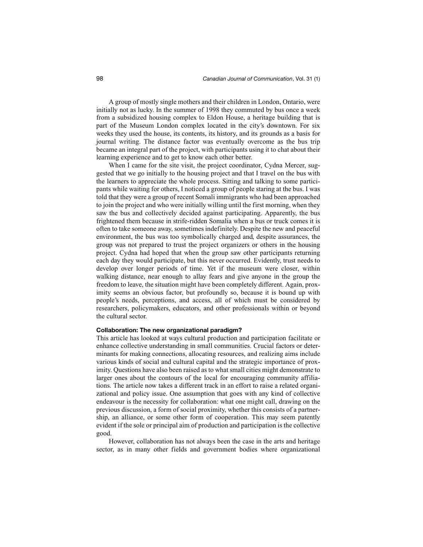A group of mostly single mothers and their children in London, Ontario, were initially not as lucky. In the summer of 1998 they commuted by bus once a week from a subsidized housing complex to Eldon House, a heritage building that is part of the Museum London complex located in the city's downtown. For six weeks they used the house, its contents, its history, and its grounds as a basis for journal writing. The distance factor was eventually overcome as the bus trip became an integral part of the project, with participants using it to chat about their learning experience and to get to know each other better.

When I came for the site visit, the project coordinator, Cydna Mercer, suggested that we go initially to the housing project and that I travel on the bus with the learners to appreciate the whole process. Sitting and talking to some participants while waiting for others, I noticed a group of people staring at the bus. I was told that they were a group of recent Somali immigrants who had been approached to join the project and who were initially willing until the first morning, when they saw the bus and collectively decided against participating. Apparently, the bus frightened them because in strife-ridden Somalia when a bus or truck comes it is often to take someone away, sometimes indefinitely. Despite the new and peaceful environment, the bus was too symbolically charged and, despite assurances, the group was not prepared to trust the project organizers or others in the housing project. Cydna had hoped that when the group saw other participants returning each day they would participate, but this never occurred. Evidently, trust needs to develop over longer periods of time. Yet if the museum were closer, within walking distance, near enough to allay fears and give anyone in the group the freedom to leave, the situation might have been completely different. Again, proximity seems an obvious factor, but profoundly so, because it is bound up with people's needs, perceptions, and access, all of which must be considered by researchers, policymakers, educators, and other professionals within or beyond the cultural sector.

# **Collaboration: The new organizational paradigm?**

This article has looked at ways cultural production and participation facilitate or enhance collective understanding in small communities. Crucial factors or determinants for making connections, allocating resources, and realizing aims include various kinds of social and cultural capital and the strategic importance of proximity. Questions have also been raised as to what small cities might demonstrate to larger ones about the contours of the local for encouraging community affiliations. The article now takes a different track in an effort to raise a related organizational and policy issue. One assumption that goes with any kind of collective endeavour is the necessity for collaboration: what one might call, drawing on the previous discussion, a form of social proximity, whether this consists of a partnership, an alliance, or some other form of cooperation. This may seem patently evident if the sole or principal aim of production and participation is the collective good.

However, collaboration has not always been the case in the arts and heritage sector, as in many other fields and government bodies where organizational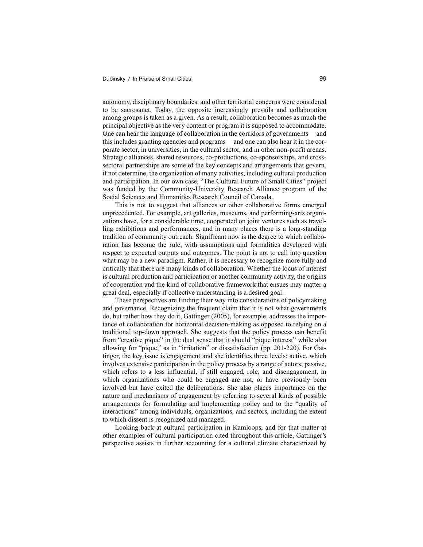autonomy, disciplinary boundaries, and other territorial concerns were considered to be sacrosanct. Today, the opposite increasingly prevails and collaboration among groups is taken as a given. As a result, collaboration becomes as much the principal objective as the very content or program it is supposed to accommodate. One can hear the language of collaboration in the corridors of governments—and this includes granting agencies and programs—and one can also hear it in the corporate sector, in universities, in the cultural sector, and in other non-profit arenas. Strategic alliances, shared resources, co-productions, co-sponsorships, and crosssectoral partnerships are some of the key concepts and arrangements that govern, if not determine, the organization of many activities, including cultural production and participation. In our own case, "The Cultural Future of Small Cities" project was funded by the Community-University Research Alliance program of the Social Sciences and Humanities Research Council of Canada.

This is not to suggest that alliances or other collaborative forms emerged unprecedented. For example, art galleries, museums, and performing-arts organizations have, for a considerable time, cooperated on joint ventures such as travelling exhibitions and performances, and in many places there is a long-standing tradition of community outreach. Significant now is the degree to which collaboration has become the rule, with assumptions and formalities developed with respect to expected outputs and outcomes. The point is not to call into question what may be a new paradigm. Rather, it is necessary to recognize more fully and critically that there are many kinds of collaboration. Whether the locus of interest is cultural production and participation or another community activity, the origins of cooperation and the kind of collaborative framework that ensues may matter a great deal, especially if collective understanding is a desired goal.

These perspectives are finding their way into considerations of policymaking and governance. Recognizing the frequent claim that it is not what governments do, but rather how they do it, Gattinger (2005), for example, addresses the importance of collaboration for horizontal decision-making as opposed to relying on a traditional top-down approach. She suggests that the policy process can benefit from "creative pique" in the dual sense that it should "pique interest" while also allowing for "pique," as in "irritation" or dissatisfaction (pp. 201-220). For Gattinger, the key issue is engagement and she identifies three levels: active, which involves extensive participation in the policy process by a range of actors; passive, which refers to a less influential, if still engaged, role; and disengagement, in which organizations who could be engaged are not, or have previously been involved but have exited the deliberations. She also places importance on the nature and mechanisms of engagement by referring to several kinds of possible arrangements for formulating and implementing policy and to the "quality of interactions" among individuals, organizations, and sectors, including the extent to which dissent is recognized and managed.

Looking back at cultural participation in Kamloops, and for that matter at other examples of cultural participation cited throughout this article, Gattinger's perspective assists in further accounting for a cultural climate characterized by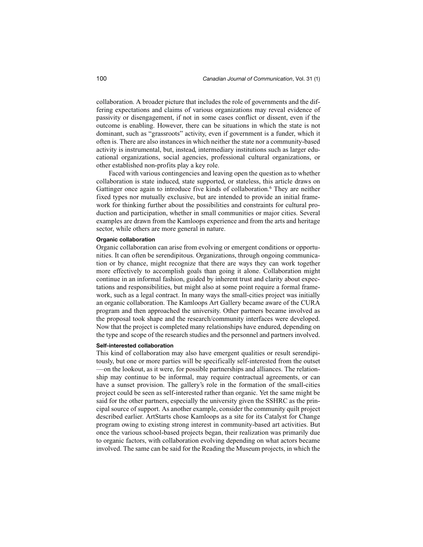collaboration. A broader picture that includes the role of governments and the differing expectations and claims of various organizations may reveal evidence of passivity or disengagement, if not in some cases conflict or dissent, even if the outcome is enabling. However, there can be situations in which the state is not dominant, such as "grassroots" activity, even if government is a funder, which it often is. There are also instances in which neither the state nor a community-based activity is instrumental, but, instead, intermediary institutions such as larger educational organizations, social agencies, professional cultural organizations, or other established non-profits play a key role.

Faced with various contingencies and leaving open the question as to whether collaboration is state induced, state supported, or stateless, this article draws on Gattinger once again to introduce five kinds of collaboration.<sup>6</sup> They are neither fixed types nor mutually exclusive, but are intended to provide an initial framework for thinking further about the possibilities and constraints for cultural production and participation, whether in small communities or major cities. Several examples are drawn from the Kamloops experience and from the arts and heritage sector, while others are more general in nature.

## **Organic collaboration**

Organic collaboration can arise from evolving or emergent conditions or opportunities. It can often be serendipitous. Organizations, through ongoing communication or by chance, might recognize that there are ways they can work together more effectively to accomplish goals than going it alone. Collaboration might continue in an informal fashion, guided by inherent trust and clarity about expectations and responsibilities, but might also at some point require a formal framework, such as a legal contract. In many ways the small-cities project was initially an organic collaboration. The Kamloops Art Gallery became aware of the CURA program and then approached the university. Other partners became involved as the proposal took shape and the research/community interfaces were developed. Now that the project is completed many relationships have endured, depending on the type and scope of the research studies and the personnel and partners involved.

# **Self-interested collaboration**

This kind of collaboration may also have emergent qualities or result serendipitously, but one or more parties will be specifically self-interested from the outset —on the lookout, as it were, for possible partnerships and alliances. The relationship may continue to be informal, may require contractual agreements, or can have a sunset provision. The gallery's role in the formation of the small-cities project could be seen as self-interested rather than organic. Yet the same might be said for the other partners, especially the university given the SSHRC as the principal source of support. As another example, consider the community quilt project described earlier. ArtStarts chose Kamloops as a site for its Catalyst for Change program owing to existing strong interest in community-based art activities. But once the various school-based projects began, their realization was primarily due to organic factors, with collaboration evolving depending on what actors became involved. The same can be said for the Reading the Museum projects, in which the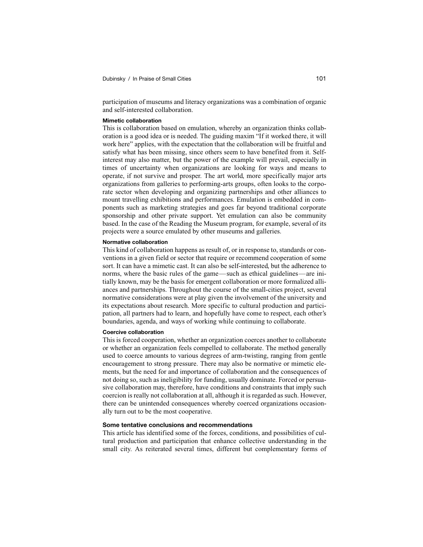participation of museums and literacy organizations was a combination of organic and self-interested collaboration.

### **Mimetic collaboration**

This is collaboration based on emulation, whereby an organization thinks collaboration is a good idea or is needed. The guiding maxim "If it worked there, it will work here" applies, with the expectation that the collaboration will be fruitful and satisfy what has been missing, since others seem to have benefited from it. Selfinterest may also matter, but the power of the example will prevail, especially in times of uncertainty when organizations are looking for ways and means to operate, if not survive and prosper. The art world, more specifically major arts organizations from galleries to performing-arts groups, often looks to the corporate sector when developing and organizing partnerships and other alliances to mount travelling exhibitions and performances. Emulation is embedded in components such as marketing strategies and goes far beyond traditional corporate sponsorship and other private support. Yet emulation can also be community based. In the case of the Reading the Museum program, for example, several of its projects were a source emulated by other museums and galleries.

#### **Normative collaboration**

This kind of collaboration happens as result of, or in response to, standards or conventions in a given field or sector that require or recommend cooperation of some sort. It can have a mimetic cast. It can also be self-interested, but the adherence to norms, where the basic rules of the game—such as ethical guidelines—are initially known, may be the basis for emergent collaboration or more formalized alliances and partnerships. Throughout the course of the small-cities project, several normative considerations were at play given the involvement of the university and its expectations about research. More specific to cultural production and participation, all partners had to learn, and hopefully have come to respect, each other's boundaries, agenda, and ways of working while continuing to collaborate.

### **Coercive collaboration**

This is forced cooperation, whether an organization coerces another to collaborate or whether an organization feels compelled to collaborate. The method generally used to coerce amounts to various degrees of arm-twisting, ranging from gentle encouragement to strong pressure. There may also be normative or mimetic elements, but the need for and importance of collaboration and the consequences of not doing so, such as ineligibility for funding, usually dominate. Forced or persuasive collaboration may, therefore, have conditions and constraints that imply such coercion is really not collaboration at all, although it is regarded as such. However, there can be unintended consequences whereby coerced organizations occasionally turn out to be the most cooperative.

# **Some tentative conclusions and recommendations**

This article has identified some of the forces, conditions, and possibilities of cultural production and participation that enhance collective understanding in the small city. As reiterated several times, different but complementary forms of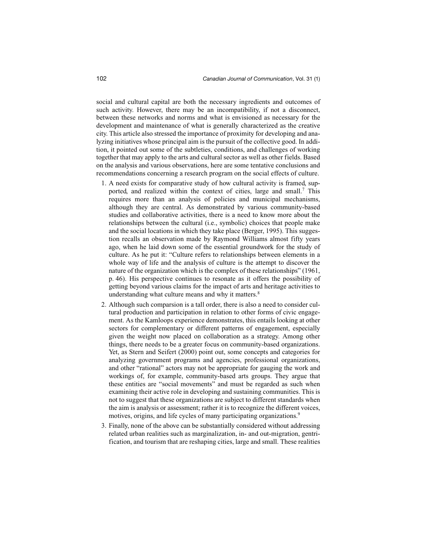social and cultural capital are both the necessary ingredients and outcomes of such activity. However, there may be an incompatibility, if not a disconnect, between these networks and norms and what is envisioned as necessary for the development and maintenance of what is generally characterized as the creative city. This article also stressed the importance of proximity for developing and analyzing initiatives whose principal aim is the pursuit of the collective good. In addition, it pointed out some of the subtleties, conditions, and challenges of working together that may apply to the arts and cultural sector as well as other fields. Based on the analysis and various observations, here are some tentative conclusions and recommendations concerning a research program on the social effects of culture.

- 1. A need exists for comparative study of how cultural activity is framed, supported, and realized within the context of cities, large and small.<sup>7</sup> This requires more than an analysis of policies and municipal mechanisms, although they are central. As demonstrated by various community-based studies and collaborative activities, there is a need to know more about the relationships between the cultural (i.e., symbolic) choices that people make and the social locations in which they take place (Berger, 1995). This suggestion recalls an observation made by Raymond Williams almost fifty years ago, when he laid down some of the essential groundwork for the study of culture. As he put it: "Culture refers to relationships between elements in a whole way of life and the analysis of culture is the attempt to discover the nature of the organization which is the complex of these relationships" (1961, p. 46). His perspective continues to resonate as it offers the possibility of getting beyond various claims for the impact of arts and heritage activities to understanding what culture means and why it matters.<sup>8</sup>
- 2. Although such comparsion is a tall order, there is also a need to consider cultural production and participation in relation to other forms of civic engagement. As the Kamloops experience demonstrates, this entails looking at other sectors for complementary or different patterns of engagement, especially given the weight now placed on collaboration as a strategy. Among other things, there needs to be a greater focus on community-based organizations. Yet, as Stern and Seifert (2000) point out, some concepts and categories for analyzing government programs and agencies, professional organizations, and other "rational" actors may not be appropriate for gauging the work and workings of, for example, community-based arts groups. They argue that these entities are "social movements" and must be regarded as such when examining their active role in developing and sustaining communities. This is not to suggest that these organizations are subject to different standards when the aim is analysis or assessment; rather it is to recognize the different voices, motives, origins, and life cycles of many participating organizations.<sup>9</sup>
- 3. Finally, none of the above can be substantially considered without addressing related urban realities such as marginalization, in- and out-migration, gentrification, and tourism that are reshaping cities, large and small. These realities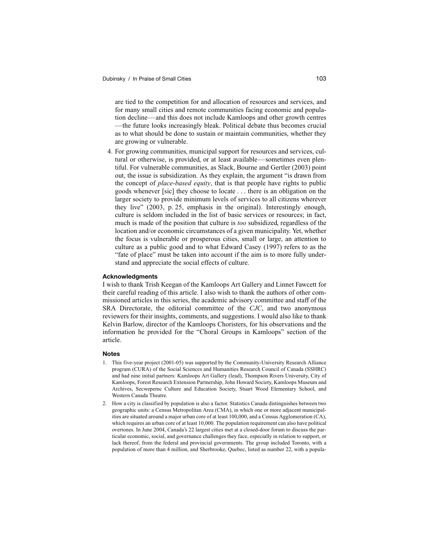are tied to the competition for and allocation of resources and services, and for many small cities and remote communities facing economic and population decline—and this does not include Kamloops and other growth centres —the future looks increasingly bleak. Political debate thus becomes crucial as to what should be done to sustain or maintain communities, whether they are growing or vulnerable.

4. For growing communities, municipal support for resources and services, cultural or otherwise, is provided, or at least available—sometimes even plentiful. For vulnerable communities, as Slack, Bourne and Gertler (2003) point out, the issue is subsidization. As they explain, the argument "is drawn from the concept of *place-based equity*, that is that people have rights to public goods whenever [sic] they choose to locate . . . there is an obligation on the larger society to provide minimum levels of services to all citizens wherever they live" (2003, p. 25, emphasis in the original). Interestingly enough, culture is seldom included in the list of basic services or resources; in fact, much is made of the position that culture is *too* subsidized, regardless of the location and/or economic circumstances of a given municipality. Yet, whether the focus is vulnerable or prosperous cities, small or large, an attention to culture as a public good and to what Edward Casey (1997) refers to as the "fate of place" must be taken into account if the aim is to more fully understand and appreciate the social effects of culture.

# **Acknowledgments**

I wish to thank Trish Keegan of the Kamloops Art Gallery and Linnet Fawcett for their careful reading of this article. I also wish to thank the authors of other commissioned articles in this series, the academic advisory committee and staff of the SRA Directorate, the editorial committee of the *CJC*, and two anonymous reviewers for their insights, comments, and suggestions. I would also like to thank Kelvin Barlow, director of the Kamloops Choristers, for his observations and the information he provided for the "Choral Groups in Kamloops" section of the article.

# **Notes**

- 1. This five-year project (2001-05) was supported by the Community-University Research Alliance program (CURA) of the Social Sciences and Humanities Research Council of Canada (SSHRC) and had nine initial partners: Kamloops Art Gallery (lead), Thompson Rivers University, City of Kamloops, Forest Research Extension Partnership, John Howard Society, Kamloops Museum and Archives, Secwepemc Culture and Education Society, Stuart Wood Elementary School, and Western Canada Theatre.
- 2. How a city is classified by population is also a factor. Statistics Canada distinguishes between two geographic units: a Census Metropolitan Area (CMA), in which one or more adjacent municipalities are situated around a major urban core of at least 100,000, and a Census Agglomeration (CA), which requires an urban core of at least 10,000. The population requirement can also have political overtones. In June 2004, Canada's 22 largest cities met at a closed-door forum to discuss the particular economic, social, and governance challenges they face, especially in relation to support, or lack thereof, from the federal and provincial governments. The group included Toronto, with a population of more than 4 million, and Sherbrooke, Quebec, listed as number 22, with a popula-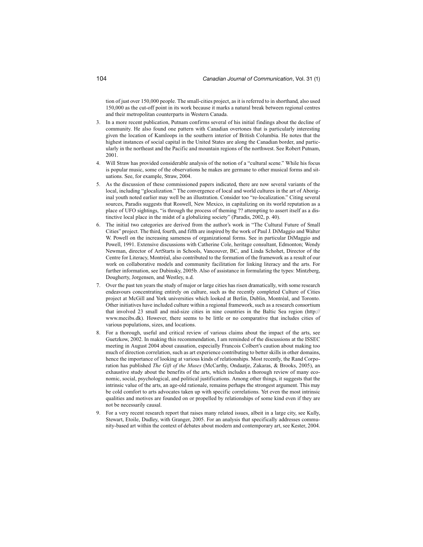tion of just over 150,000 people. The small-cities project, as it is referred to in shorthand, also used 150,000 as the cut-off point in its work because it marks a natural break between regional centres and their metropolitan counterparts in Western Canada.

- 3. In a more recent publication, Putnam confirms several of his initial findings about the decline of community. He also found one pattern with Canadian overtones that is particularly interesting given the location of Kamloops in the southern interior of British Columbia. He notes that the highest instances of social capital in the United States are along the Canadian border, and particularly in the northeast and the Pacific and mountain regions of the northwest. See Robert Putnam, 2001.
- 4. Will Straw has provided considerable analysis of the notion of a "cultural scene." While his focus is popular music, some of the observations he makes are germane to other musical forms and situations. See, for example, Straw, 2004.
- 5. As the discussion of these commissioned papers indicated, there are now several variants of the local, including "glocalization." The convergence of local and world cultures in the art of Aboriginal youth noted earlier may well be an illustration. Consider too "re-localization." Citing several sources, Paradis suggests that Roswell, New Mexico, in capitalizing on its world reputation as a place of UFO sightings, "is through the process of theming ?? attempting to assert itself as a distinctive local place in the midst of a globalizing society" (Paradis, 2002, p. 40).
- The initial two categories are derived from the author's work in "The Cultural Future of Small Cities" project. The third, fourth, and fifth are inspired by the work of Paul J. DiMaggio and Walter W. Powell on the increasing sameness of organizational forms. See in particular DiMaggio and Powell, 1991. Extensive discussions with Catherine Cole, heritage consultant, Edmonton; Wendy Newman, director of ArtStarts in Schools, Vancouver, BC, and Linda Schohet, Director of the Centre for Literacy, Montréal, also contributed to the formation of the framework as a result of our work on collaborative models and community facilitation for linking literacy and the arts. For further information, see Dubinsky, 2005b. Also of assistance in formulating the types: Mintzberg, Dougherty, Jorgensen, and Westley, n.d.
- 7. Over the past ten years the study of major or large cities has risen dramatically, with some research endeavours concentrating entirely on culture, such as the recently completed Culture of Cities project at McGill and York universities which looked at Berlin, Dublin, Montréal, and Toronto. Other initiatives have included culture within a regional framework, such as a research consortium that involved 23 small and mid-size cities in nine countries in the Baltic Sea region (http:// www.mecibs.dk). However, there seems to be little or no comparative that includes cities of various populations, sizes, and locations.
- 8. For a thorough, useful and critical review of various claims about the impact of the arts, see Guetzkow, 2002. In making this recommendation, I am reminded of the discussions at the ISSEC meeting in August 2004 about causation, especially Francois Colbert's caution about making too much of direction correlation, such as art experience contributing to better skills in other domains, hence the importance of looking at various kinds of relationships. Most recently, the Rand Corporation has published *The Gift of the Muses* (McCarthy, Ondaatje, Zakaras, & Brooks, 2005), an exhaustive study about the benefits of the arts, which includes a thorough review of many economic, social, psychological, and political justifications. Among other things, it suggests that the intrinsic value of the arts, an age-old rationale, remains perhaps the strongest argument. This may be cold comfort to arts advocates taken up with specific correlations. Yet even the most intrinsic qualities and motives are founded on or propelled by relationships of some kind even if they are not be necessarily causal.
- 9. For a very recent research report that raises many related issues, albeit in a large city, see Kully, Stewart, Etoile, Dudley, with Granger, 2005. For an analysis that specifically addresses community-based art within the context of debates about modern and contemporary art, see Kester, 2004.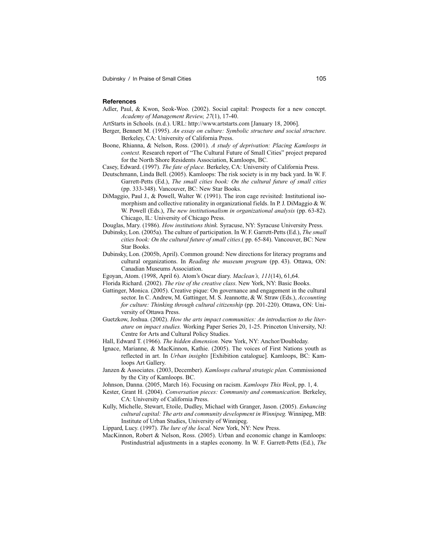#### **References**

- Adler, Paul, & Kwon, Seok-Woo. (2002). Social capital: Prospects for a new concept. *Academy of Management Review, 27*(1), 17-40.
- ArtStarts in Schools. (n.d.). URL: http://www.artstarts.com [January 18, 2006].
- Berger, Bennett M. (1995). *An essay on culture: Symbolic structure and social structure.* Berkeley, CA: University of California Press.
- Boone, Rhianna, & Nelson, Ross. (2001). *A study of deprivation: Placing Kamloops in context.* Research report of "The Cultural Future of Small Cities" project prepared for the North Shore Residents Association, Kamloops, BC.
- Casey, Edward. (1997). *The fate of place.* Berkeley, CA: University of California Press.
- Deutschmann, Linda Bell. (2005). Kamloops: The risk society is in my back yard. In W. F. Garrett-Petts (Ed.), *The small cities book: On the cultural future of small cities* (pp. 333-348). Vancouver, BC: New Star Books.
- DiMaggio, Paul J., & Powell, Walter W. (1991). The iron cage revisited: Institutional isomorphism and collective rationality in organizational fields. In P. J. DiMaggio & W. W. Powell (Eds.), *The new institutionalism in organizational analysis* (pp. 63-82). Chicago, IL: University of Chicago Press.
- Douglas, Mary. (1986). *How institutions think.* Syracuse, NY: Syracuse University Press.
- Dubinsky, Lon. (2005a). The culture of participation. In W. F. Garrett-Petts (Ed.), *The small cities book: On the cultural future of small cities*.( pp. 65-84). Vancouver, BC: New Star Books.
- Dubinsky, Lon. (2005b, April). Common ground: New directions for literacy programs and cultural organizations. In *Reading the museum program* (pp. 43). Ottawa, ON: Canadian Museums Association.
- Egoyan, Atom. (1998, April 6). Atom's Oscar diary. *Maclean's, 111*(14), 61,64.
- Florida Richard. (2002). *The rise of the creative class*. New York, NY: Basic Books.
- Gattinger, Monica. (2005). Creative pique: On governance and engagement in the cultural sector. In C. Andrew, M. Gattinger, M. S. Jeannotte, & W. Straw (Eds.), *Accounting for culture: Thinking through cultural citizenship* (pp. 201-220). Ottawa, ON: University of Ottawa Press.
- Guetzkow, Joshua. (2002). *How the arts impact communities: An introduction to the literature on impact studies.* Working Paper Series 20, 1-25. Princeton University, NJ: Centre for Arts and Cultural Policy Studies.
- Hall, Edward T. (1966). *The hidden dimension.* New York, NY: Anchor/Doubleday.
- Ignace, Marianne, & MacKinnon, Kathie. (2005). The voices of First Nations youth as reflected in art. In *Urban insights* [Exhibition catalogue]. Kamloops, BC: Kamloops Art Gallery.
- Janzen & Associates. (2003, December). *Kamloops cultural strategic plan.* Commissioned by the City of Kamloops. BC.
- Johnson, Danna. (2005, March 16). Focusing on racism. *Kamloops This Week*, pp. 1, 4.
- Kester, Grant H. (2004). *Conversation pieces: Community and communication.* Berkeley, CA: University of California Press.
- Kully, Michelle, Stewart, Etoile, Dudley, Michael with Granger, Jason. (2005). *Enhancing cultural capital: The arts and community development in Winnipeg.* Winnipeg, MB: Institute of Urban Studies, University of Winnipeg.
- Lippard, Lucy. (1997). *The lure of the local.* New York, NY: New Press.
- MacKinnon, Robert & Nelson, Ross. (2005). Urban and economic change in Kamloops: Postindustrial adjustments in a staples economy. In W. F. Garrett-Petts (Ed.), *The*